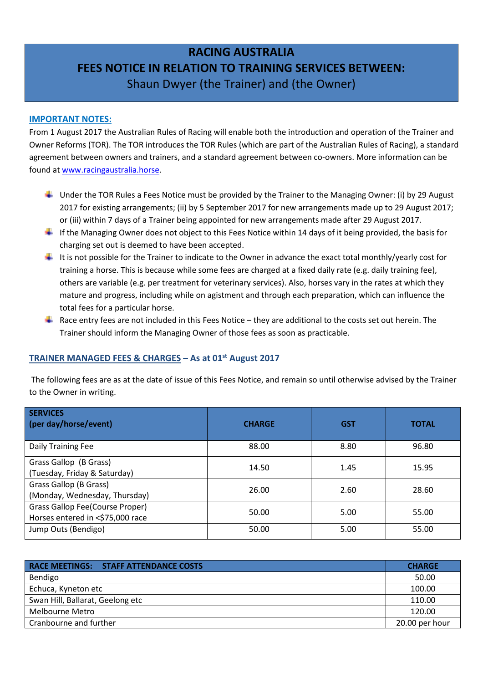# **RACING AUSTRALIA FEES NOTICE IN RELATION TO TRAINING SERVICES BETWEEN:**  Shaun Dwyer (the Trainer) and (the Owner)

#### **IMPORTANT NOTES:**

From 1 August 2017 the Australian Rules of Racing will enable both the introduction and operation of the Trainer and Owner Reforms (TOR). The TOR introduces the TOR Rules (which are part of the Australian Rules of Racing), a standard agreement between owners and trainers, and a standard agreement between co-owners. More information can be found at [www.racingaustralia.horse.](http://www.racingaustralia.horse/)

- Under the TOR Rules a Fees Notice must be provided by the Trainer to the Managing Owner: (i) by 29 August 2017 for existing arrangements; (ii) by 5 September 2017 for new arrangements made up to 29 August 2017; or (iii) within 7 days of a Trainer being appointed for new arrangements made after 29 August 2017.
- If the Managing Owner does not object to this Fees Notice within 14 days of it being provided, the basis for charging set out is deemed to have been accepted.
- It is not possible for the Trainer to indicate to the Owner in advance the exact total monthly/yearly cost for training a horse. This is because while some fees are charged at a fixed daily rate (e.g. daily training fee), others are variable (e.g. per treatment for veterinary services). Also, horses vary in the rates at which they mature and progress, including while on agistment and through each preparation, which can influence the total fees for a particular horse.
- Race entry fees are not included in this Fees Notice they are additional to the costs set out herein. The Trainer should inform the Managing Owner of those fees as soon as practicable.

## **TRAINER MANAGED FEES & CHARGES – As at 01st August 2017**

 The following fees are as at the date of issue of this Fees Notice, and remain so until otherwise advised by the Trainer to the Owner in writing.

| <b>SERVICES</b><br>(per day/horse/event)                            | <b>CHARGE</b> | <b>GST</b> | <b>TOTAL</b> |
|---------------------------------------------------------------------|---------------|------------|--------------|
| Daily Training Fee                                                  | 88.00         | 8.80       | 96.80        |
| Grass Gallop (B Grass)<br>(Tuesday, Friday & Saturday)              | 14.50         | 1.45       | 15.95        |
| Grass Gallop (B Grass)<br>(Monday, Wednesday, Thursday)             | 26.00         | 2.60       | 28.60        |
| Grass Gallop Fee(Course Proper)<br>Horses entered in <\$75,000 race | 50.00         | 5.00       | 55.00        |
| Jump Outs (Bendigo)                                                 | 50.00         | 5.00       | 55.00        |

| <b>RACE MEETINGS: STAFF ATTENDANCE COSTS</b> | <b>CHARGE</b>  |
|----------------------------------------------|----------------|
| Bendigo                                      | 50.00          |
| Echuca, Kyneton etc                          | 100.00         |
| Swan Hill, Ballarat, Geelong etc             | 110.00         |
| Melbourne Metro                              | 120.00         |
| Cranbourne and further                       | 20.00 per hour |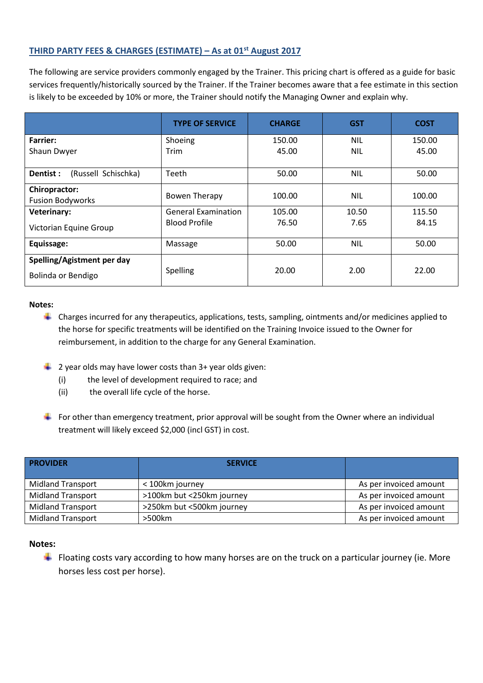# **THIRD PARTY FEES & CHARGES (ESTIMATE) – As at 01st August 2017**

The following are service providers commonly engaged by the Trainer. This pricing chart is offered as a guide for basic services frequently/historically sourced by the Trainer. If the Trainer becomes aware that a fee estimate in this section is likely to be exceeded by 10% or more, the Trainer should notify the Managing Owner and explain why.

|                                                  | <b>TYPE OF SERVICE</b>     | <b>CHARGE</b> | <b>GST</b> | <b>COST</b> |
|--------------------------------------------------|----------------------------|---------------|------------|-------------|
| <b>Farrier:</b>                                  | Shoeing                    | 150.00        | <b>NIL</b> | 150.00      |
| Shaun Dwyer                                      | Trim                       | 45.00         | <b>NIL</b> | 45.00       |
| (Russell Schischka)<br>Dentist :                 | Teeth                      | 50.00         | <b>NIL</b> | 50.00       |
| <b>Chiropractor:</b><br><b>Fusion Bodyworks</b>  | <b>Bowen Therapy</b>       | 100.00        | <b>NIL</b> | 100.00      |
| <b>Veterinary:</b>                               | <b>General Examination</b> | 105.00        | 10.50      | 115.50      |
| Victorian Equine Group                           | <b>Blood Profile</b>       | 76.50         | 7.65       | 84.15       |
| Equissage:                                       | Massage                    | 50.00         | <b>NIL</b> | 50.00       |
| Spelling/Agistment per day<br>Bolinda or Bendigo | Spelling                   | 20.00         | 2.00       | 22.00       |

#### **Notes:**

- Charges incurred for any therapeutics, applications, tests, sampling, ointments and/or medicines applied to the horse for specific treatments will be identified on the Training Invoice issued to the Owner for reimbursement, in addition to the charge for any General Examination.
- $\triangleq$  2 year olds may have lower costs than 3+ year olds given:
	- (i) the level of development required to race; and
	- (ii) the overall life cycle of the horse.
- For other than emergency treatment, prior approval will be sought from the Owner where an individual treatment will likely exceed \$2,000 (incl GST) in cost.

| <b>PROVIDER</b>          | <b>SERVICE</b>            |                        |
|--------------------------|---------------------------|------------------------|
| <b>Midland Transport</b> | < 100km journey           | As per invoiced amount |
| <b>Midland Transport</b> | >100km but <250km journey | As per invoiced amount |
| <b>Midland Transport</b> | >250km but <500km journey | As per invoiced amount |
| <b>Midland Transport</b> | $>500$ km                 | As per invoiced amount |

#### **Notes:**

Floating costs vary according to how many horses are on the truck on a particular journey (ie. More horses less cost per horse).